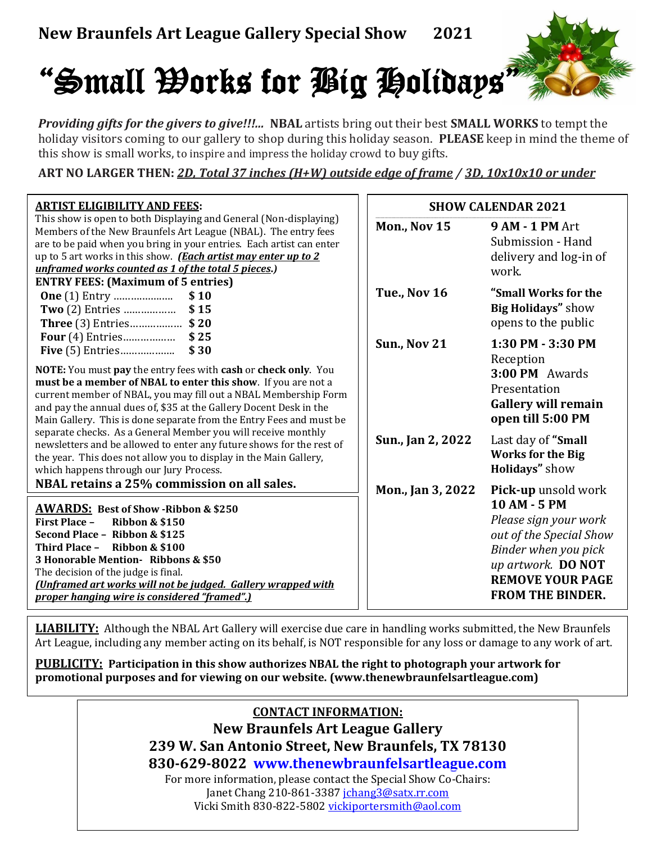*Providing gifts for the givers to give!!!...* **NBAL** artists bring out their best **SMALL WORKS** to tempt the holiday visitors coming to our gallery to shop during this holiday season. **PLEASE** keep in mind the theme of this show is small works, to inspire and impress the holiday crowd to buy gifts.

**ART NO LARGER THEN:** *2D, Total 37 inches (H+W) outside edge of frame / 3D, 10x10x10 or under* 

| <b>ARTIST ELIGIBILITY AND FEES:</b>                                                                                                                                                                                                                                                                                                                                                                                                                         | <b>SHOW CALENDAR 2021</b>                |                                                                                                                                                                                             |  |
|-------------------------------------------------------------------------------------------------------------------------------------------------------------------------------------------------------------------------------------------------------------------------------------------------------------------------------------------------------------------------------------------------------------------------------------------------------------|------------------------------------------|---------------------------------------------------------------------------------------------------------------------------------------------------------------------------------------------|--|
| This show is open to both Displaying and General (Non-displaying)<br>Members of the New Braunfels Art League (NBAL). The entry fees<br>are to be paid when you bring in your entries. Each artist can enter<br>up to 5 art works in this show. ( <b>Each artist may enter up to 2</b><br>unframed works counted as 1 of the total 5 pieces.)                                                                                                                | Mon., Nov 15                             | <b>9 AM - 1 PM Art</b><br>Submission - Hand<br>delivery and log-in of<br>work.                                                                                                              |  |
| <b>ENTRY FEES:</b> (Maximum of 5 entries)<br>\$10<br><b>Two</b> (2) Entries<br>\$15<br>Three (3) Entries \$20                                                                                                                                                                                                                                                                                                                                               | <b>Tue., Nov 16</b>                      | "Small Works for the<br><b>Big Holidays"</b> show<br>opens to the public                                                                                                                    |  |
| \$25<br><b>Four</b> (4) Entries<br>\$30<br>NOTE: You must pay the entry fees with cash or check only. You<br>must be a member of NBAL to enter this show. If you are not a<br>current member of NBAL, you may fill out a NBAL Membership Form<br>and pay the annual dues of, \$35 at the Gallery Docent Desk in the<br>Main Gallery. This is done separate from the Entry Fees and must be<br>separate checks. As a General Member you will receive monthly | <b>Sun., Nov 21</b><br>Sun., Jan 2, 2022 | 1:30 PM - 3:30 PM<br>Reception<br>3:00 PM Awards<br>Presentation<br><b>Gallery will remain</b><br>open till 5:00 PM<br>Last day of "Small                                                   |  |
| newsletters and be allowed to enter any future shows for the rest of<br>the year. This does not allow you to display in the Main Gallery,<br>which happens through our Jury Process.<br>NBAL retains a 25% commission on all sales.                                                                                                                                                                                                                         |                                          | <b>Works for the Big</b><br>Holidays" show                                                                                                                                                  |  |
| <b>AWARDS: Best of Show - Ribbon &amp; \$250</b><br><b>First Place -</b><br><b>Ribbon &amp; \$150</b><br>Second Place - Ribbon & \$125<br>Third Place - Ribbon & \$100<br>3 Honorable Mention-Ribbons & \$50<br>The decision of the judge is final.<br>(Unframed art works will not be judged. Gallery wrapped with<br>proper hanging wire is considered "framed".)                                                                                         | Mon., Jan 3, 2022                        | Pick-up unsold work<br>10 AM - 5 PM<br>Please sign your work<br>out of the Special Show<br>Binder when you pick<br>up artwork. DO NOT<br><b>REMOVE YOUR PAGE</b><br><b>FROM THE BINDER.</b> |  |

**LIABILITY:** Although the NBAL Art Gallery will exercise due care in handling works submitted, the New Braunfels Art League, including any member acting on its behalf, is NOT responsible for any loss or damage to any work of art.

**PUBLICITY: Participation in this show authorizes NBAL the right to photograph your artwork for promotional purposes and for viewing on our website. (www.thenewbraunfelsartleague.com)**

## **CONTACT INFORMATION:**

**New Braunfels Art League Gallery 239 W. San Antonio Street, New Braunfels, TX 78130 830-629-8022 [www.thenewbraunfelsartleague.com](http://www.thenewbraunfelsartleague.com/)**

For more information, please contact the Special Show Co-Chairs: Janet Chang 210-861-338[7 jchang3@satx.rr.com](mailto:jchang3@satx.rr.com) Vicki Smith 830-822-5802 [vickiportersmith@aol.com](mailto:vickiportersmith@aol.com)